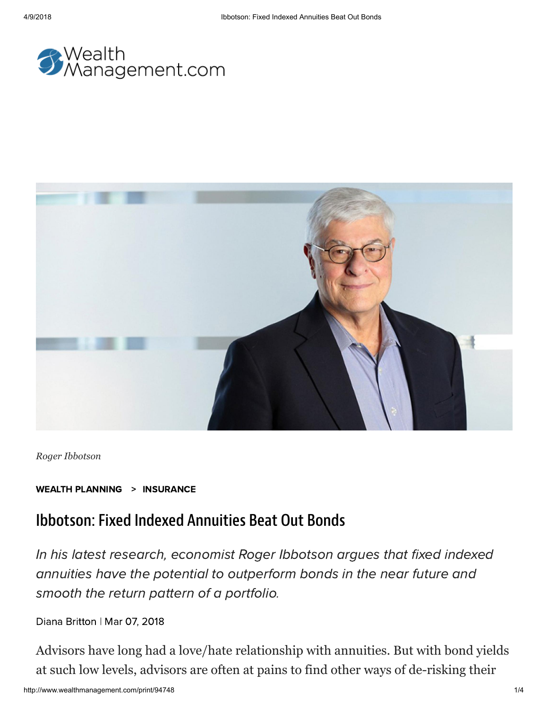



*Roger Ibbotson*

WEALTH [PLANNING](http://www.wealthmanagement.com/wealth-planning) > [INSURANCE](http://www.wealthmanagement.com/wealth-planning/insurance)

## Ibbotson: Fixed Indexed Annuities Beat Out Bonds

In his latest research, economist Roger Ibbotson argues that fixed indexed annuities have the potential to outperform bonds in the near future and smooth the return pattern of a portfolio.

Diana [Britton](http://www.wealthmanagement.com/author/Diana-Britton) | Mar 07, 2018

Advisors have long had a love/hate relationship with annuities. But with bond yields at such low levels, advisors are often at pains to find other ways of de-risking their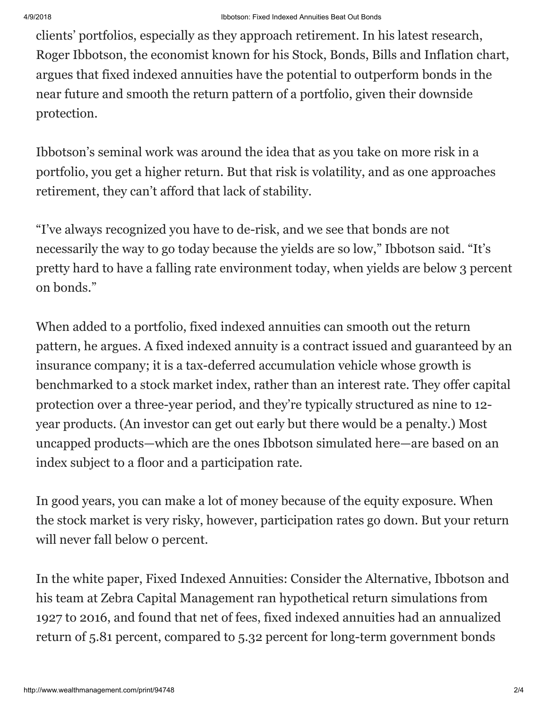clients' portfolios, especially as they approach retirement. In his latest research, Roger Ibbotson, the economist known for his Stock, Bonds, Bills and Inflation chart, argues that fixed indexed annuities have the potential to outperform bonds in the near future and smooth the return pattern of a portfolio, given their downside protection.

Ibbotson's seminal work was around the idea that as you take on more risk in a portfolio, you get a higher return. But that risk is volatility, and as one approaches retirement, they can't afford that lack of stability.

"I've always recognized you have to de-risk, and we see that bonds are not necessarily the way to go today because the yields are so low," Ibbotson said. "It's pretty hard to have a falling rate environment today, when yields are below 3 percent on bonds."

When added to a portfolio, fixed indexed annuities can smooth out the return pattern, he argues. A fixed indexed annuity is a contract issued and guaranteed by an insurance company; it is a tax-deferred accumulation vehicle whose growth is benchmarked to a stock market index, rather than an interest rate. They offer capital protection over a three-year period, and they're typically structured as nine to 12 year products. (An investor can get out early but there would be a penalty.) Most uncapped products—which are the ones Ibbotson simulated here—are based on an index subject to a floor and a participation rate.

In good years, you can make a lot of money because of the equity exposure. When the stock market is very risky, however, participation rates go down. But your return will never fall below 0 percent.

In the white paper, Fixed Indexed Annuities: Consider the Alternative, Ibbotson and his team at Zebra Capital Management ran hypothetical return simulations from 1927 to 2016, and found that net of fees, fixed indexed annuities had an annualized return of 5.81 percent, compared to 5.32 percent for long-term government bonds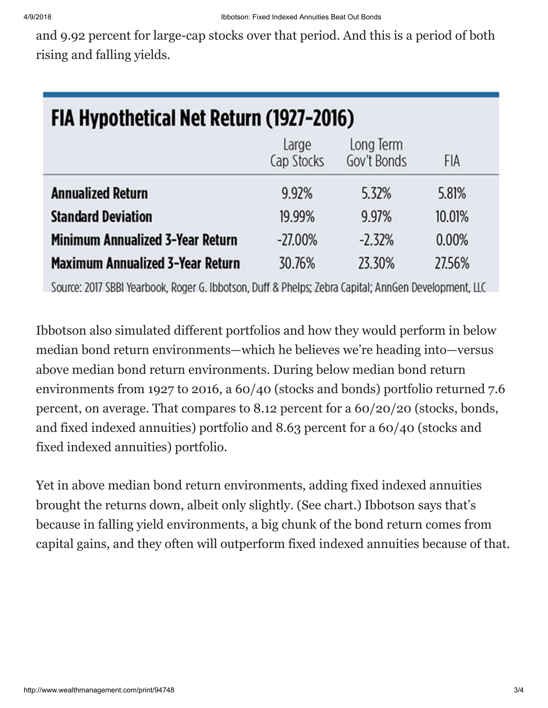and 9.92 percent for large-cap stocks over that period. And this is a period of both rising and falling yields.

| FIA Hypothetical Net Return (1927-2016) |                     |                          |        |  |  |
|-----------------------------------------|---------------------|--------------------------|--------|--|--|
|                                         | Large<br>Cap Stocks | Long Term<br>Gov't Bonds | FIA    |  |  |
| <b>Annualized Return</b>                | 9.92%               | 5.32%                    | 5.81%  |  |  |
| <b>Standard Deviation</b>               | 19.99%              | 9.97%                    | 10.01% |  |  |
| <b>Minimum Annualized 3-Year Return</b> | $-27.00\%$          | $-2.32%$                 | 0.00%  |  |  |
| <b>Maximum Annualized 3-Year Return</b> | 30.76%              | 23.30%                   | 27.56% |  |  |

Source: 2017 SBBI Yearbook, Roger G. Ibbotson, Duff & Phelps; Zebra Capital; AnnGen Development, LLC

Ibbotson also simulated different portfolios and how they would perform in below median bond return environments—which he believes we're heading into—versus above median bond return environments. During below median bond return environments from 1927 to 2016, a 60/40 (stocks and bonds) portfolio returned 7.6 percent, on average. That compares to 8.12 percent for a 60/20/20 (stocks, bonds, and fixed indexed annuities) portfolio and 8.63 percent for a 60/40 (stocks and fixed indexed annuities) portfolio.

Yet in above median bond return environments, adding fixed indexed annuities brought the returns down, albeit only slightly. (See chart.) Ibbotson says that's because in falling yield environments, a big chunk of the bond return comes from capital gains, and they often will outperform fixed indexed annuities because of that.